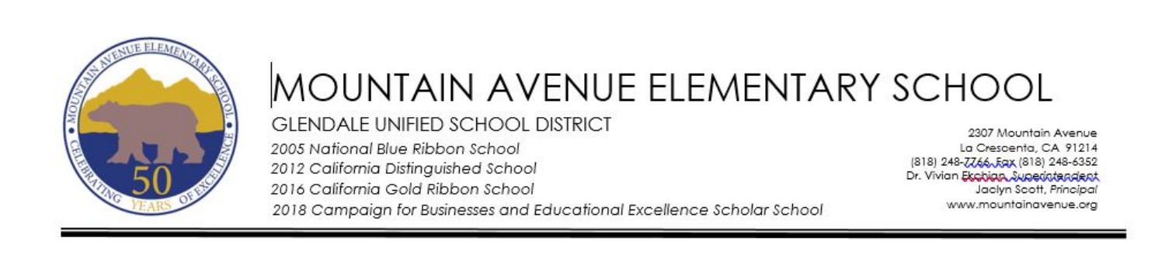

# MOUNTAIN AVENUE ELEMENTARY SCHOOL **GLENDALE UNIFIED SCHOOL DISTRICT** 2005 National Blue Ribbon School

2012 California Distinguished School 2016 California Gold Ribbon School

2307 Mountain Avenue La Crescenta, CA 91214 (818) 248-7766, Eqx (818) 248-6352 Dr. Vivian Ekobian Superintendent Jaclyn Scott, Principal www.mountainavenue.org

2018 Campaian for Businesses and Educational Excellence Scholar School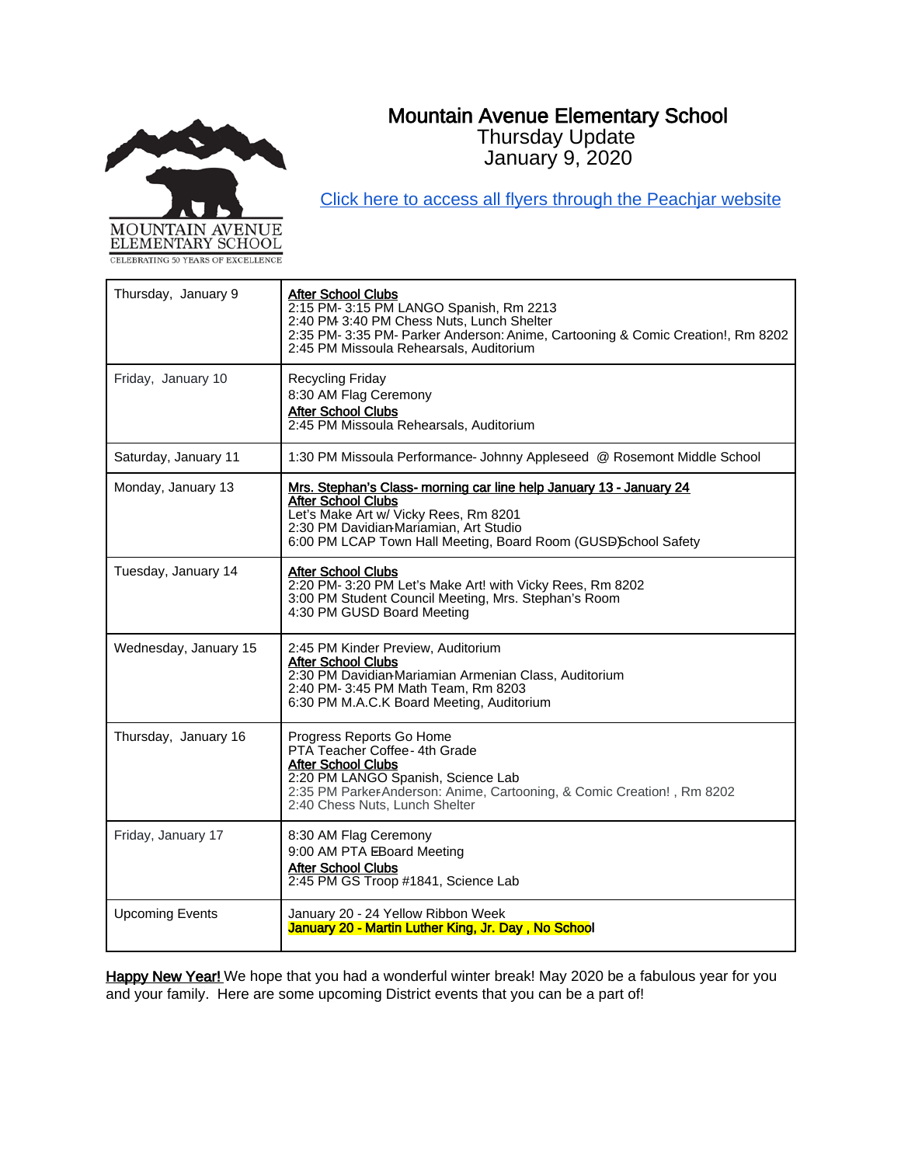# Mountain Avenue Elementary School Thursday Update

January 9, 2020



[Click here to access all flyers through the Peachjar website](https://app.peachjar.com/flyers/all/schools/55122)

Thursday, January 9 | After School Clubs 2:15 PM- 3:15 PM LANGO Spanish, Rm 2213 2:40 PM- 3:40 PM Chess Nuts, Lunch Shelter 2:35 PM- 3:35 PM- Parker Anderson: Anime, Cartooning & Comic Creation!, Rm 8202 2:45 PM Missoula Rehearsals, Auditorium Friday, January 10 Recycling Friday 8:30 AM Flag Ceremony After School Clubs 2:45 PM Missoula Rehearsals, Auditorium Saturday, January 11 1:30 PM Missoula Performance - Johnny Appleseed @ Rosemont Middle School Monday, January 13 **Mrs. Stephan's Class- morning car line help January 13 - January 24 After School Clubs** Let's Make Art w/ Vicky Rees, Rm 8201 2:30 PM Davidian-Mariamian, Art Studio 6:00 PM LCAP Town Hall Meeting, Board Room (GUSD) School Safety Tuesday, January 14 | After School Clubs 2:20 PM - 3:20 PM Let's Make Art! with Vicky Rees, Rm 8202 3:00 PM Student Council Meeting, Mrs. Stephan's Room 4:30 PM GUSD Board Meeting Wednesday, January 15 2:45 PM Kinder Preview, Auditorium **After School Clubs** 2:30 PM Davidian-Mariamian Armenian Class, Auditorium 2:40 PM - 3:45 PM Math Team, Rm 8203 6:30 PM M.A.C.K Board Meeting, Auditorium Thursday, January 16 Progress Reports Go Home PTA Teacher Coffee - 4th Grade After School Clubs 2:20 PM LANGO Spanish, Science Lab 2:35 PM Parker-Anderson: Anime, Cartooning, & Comic Creation!, Rm 8202 2:40 Chess Nuts, Lunch Shelter Friday, January 17 8:30 AM Flag Ceremony 9:00 AM PTA EBoard Meeting **After School Clubs** 2:45 PM GS Troop #1841, Science Lab Upcoming Events | January 20 - 24 Yellow Ribbon Week January 20 - Martin Luther King, Jr. Day , No School

Happy New Year! We hope that you had a wonderful winter break! May 2020 be a fabulous year for you and your family. Here are some upcoming District events that you can be a part of!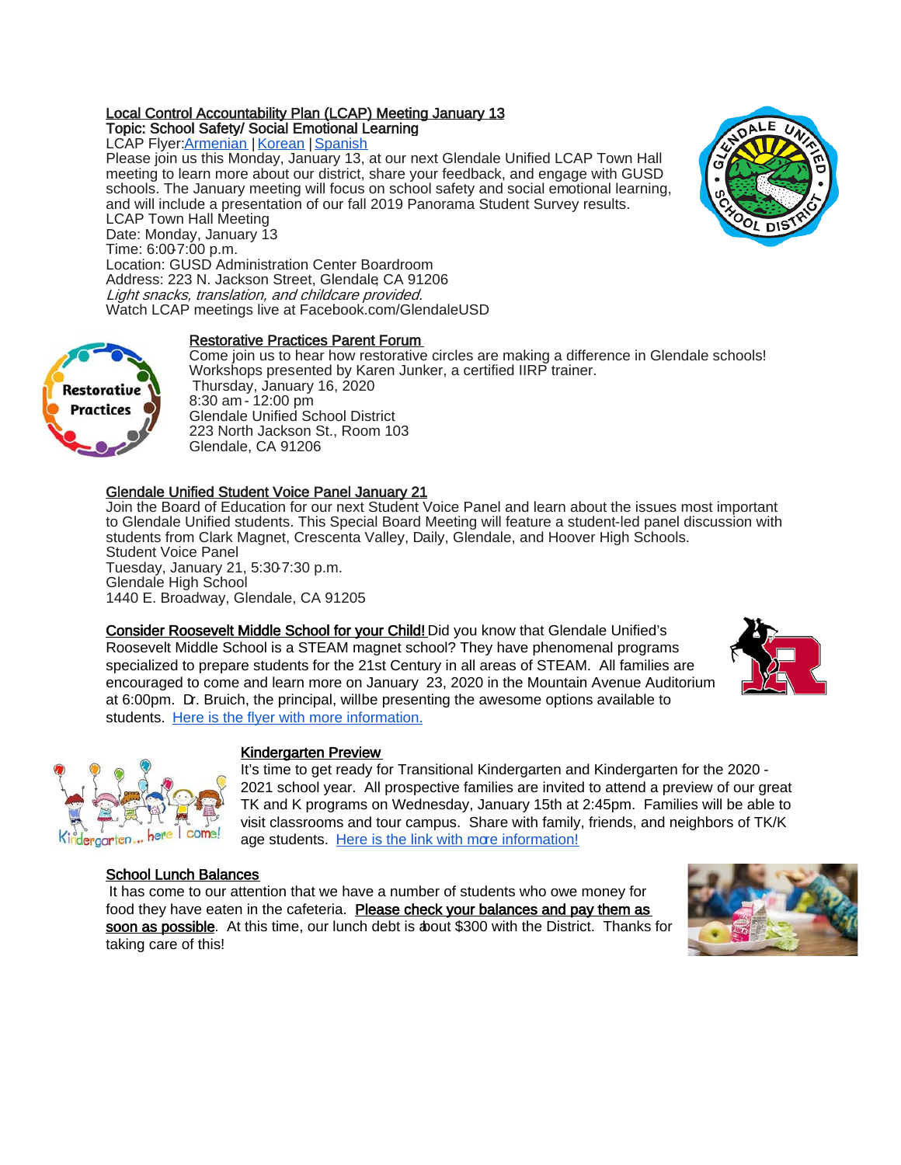#### Local Control Accountability Plan (LCAP) Meeting January 13 Topic: School Safety/ Social Emotional Learning

LCAP Flyer[: Armenian](https://www.gusd.net/cms/lib/CA01000648/Centricity/Domain/117/Arm-Town%20Hall%20Meeting%202019-20%20Flyer_updated%2008-07.pdf) [| Korean](https://www.gusd.net/cms/lib/CA01000648/Centricity/Domain/117/Kor-Town%20Hall%20Meeting%202019-20%20Flyer.pdf) | Spanish

Please join us this Monday, January 13, at our next Glendale Unified LCAP Town Hall meeting to learn more about our district, share your feedback, and engage with GUSD schools. The January meeting will focus on school safety and social emotional learning, and will include a presentation of our fall 2019 Panorama Student Survey results. LCAP Town Hall Meeting Date: Monday, January 13 Time: 6:007:00 p.m.

Location: GUSD Administration Center Boardroom Address: 223 N. Jackson Street, Glendale CA 91206 Light snacks, translation, and childcare provided. Watch LCAP meetings live at Facebook.com/GlendaleUSD

## Restorative Practices Parent Forum

Come join us to hear how restorative circles are making a difference in Glendale schools! Workshops presented by Karen Junker, a certified IIRP trainer. Thursday, January 16, 2020 8:30 am - 12:00 pm Glendale Unified School District 223 North Jackson St., Room 103 Glendale, CA 91206

# Glendale Unified Student Voice Panel January 21

Join the Board of Education for our next Student Voice Panel and learn about the issues most important to Glendale Unified students. This Special Board Meeting will feature a student-led panel discussion with students from Clark Magnet, Crescenta Valley, Daily, Glendale, and Hoover High Schools. Student Voice Panel Tuesday, January 21, 5:30-7:30 p.m. Glendale High School 1440 E. Broadway, Glendale, CA 91205

Consider Roosevelt Middle School for your Child! Did you know that Glendale Unified's Roosevelt Middle School is a STEAM magnet school? They have phenomenal programs specialized to prepare students for the 21st Century in all areas of STEAM. All families are encouraged to come and learn more on January 23, 2020 in the Mountain Avenue Auditorium at 6:00pm. D. Bruich, the principal, will be presenting the awesome options available to students. [Here is the flyer with more information.](https://www.gusd.net/cms/lib/CA01000648/Centricity/ModuleInstance/9125/Roosevelt%20Roadshow%20Flyer%20Mountain%20Ave.pdf)

## Kindergarten Preview

It's time to get ready for Transitional Kindergarten and Kindergarten for the 2020 - 2021 school year. All prospective families are invited to attend a preview of our great TK and K programs on Wednesday, January 15th at 2:45pm. Families will be able to visit classrooms and tour campus. Share with family, friends, and neighbors of TK/K age students. [Here is the link with more information!](https://www.gusd.net/cms/lib/CA01000648/Centricity/ModuleInstance/9125/COLOR%20Kinder%20preview%20flyer%202020.pdf)

## School Lunch Balances

It has come to our attention that we have a number of students who owe money for food they have eaten in the cafeteria. Please check your balances and pay them as soon as possible. At this time, our lunch debt is about \$300 with the District. Thanks for taking care of this!









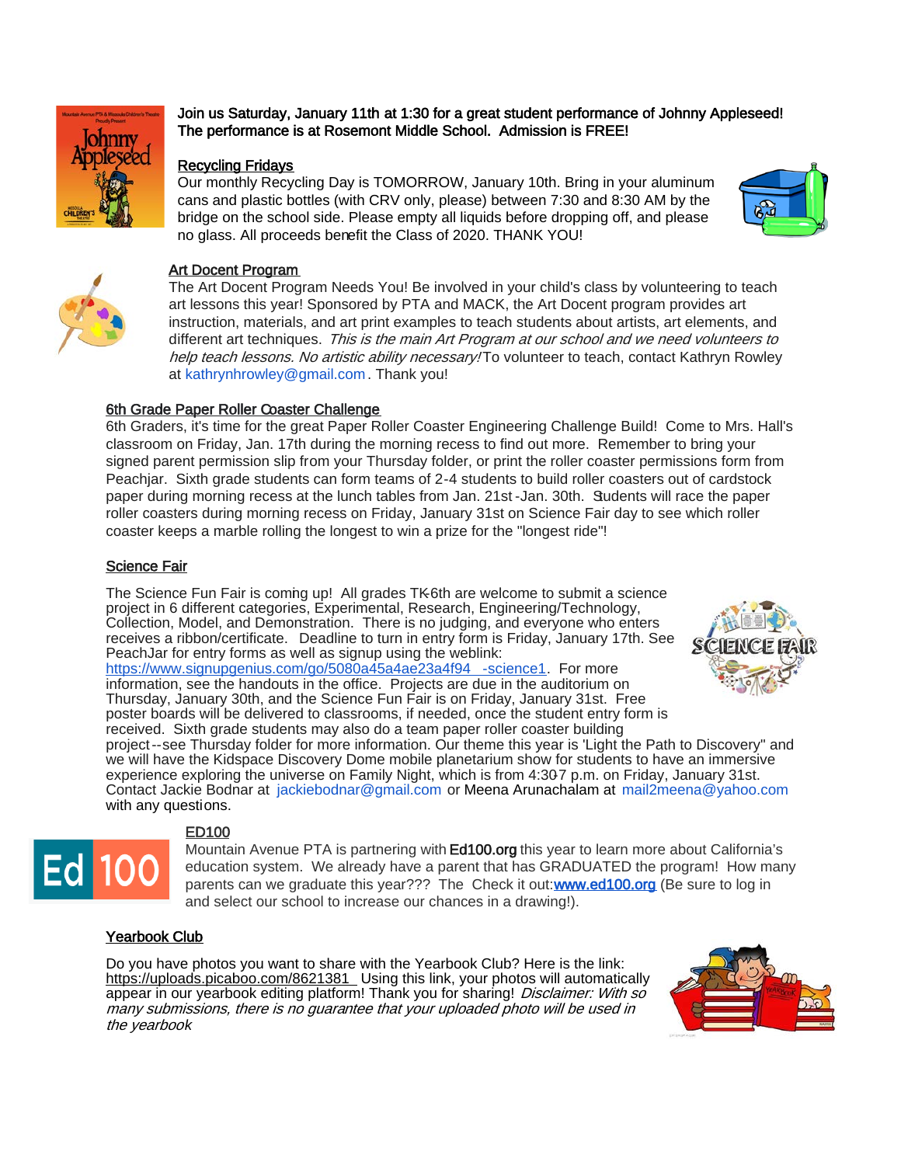

Join us Saturday, January 11th at 1:30 for a great student performance of Johnny Appleseed! The performance is at Rosemont Middle School. Admission is FREE!

## Recycling Fridays

Our monthly Recycling Day is TOMORROW, January 10th. Bring in your aluminum cans and plastic bottles (with CRV only, please) between 7:30 and 8:30 AM by the bridge on the school side. Please empty all liquids before dropping off, and please no glass. All proceeds benefit the Class of 2020. THANK YOU!





## Art Docent Program

The Art Docent Program Needs You! Be involved in your child's class by volunteering to teach art lessons this year! Sponsored by PTA and MACK, the Art Docent program provides art instruction, materials, and art print examples to teach students about artists, art elements, and different art techniques. This is the main Art Program at our school and we need volunteers to help teach lessons. No artistic ability necessary! To volunteer to teach, contact Kathryn Rowley at kathrynhrowley@gmail.com . Thank you!

## 6th Grade Paper Roller Coaster Challenge

6th Graders, it's time for the great Paper Roller Coaster Engineering Challenge Build! Come to Mrs. Hall's classroom on Friday, Jan. 17th during the morning recess to find out more. Remember to bring your signed parent permission slip from your Thursday folder, or print the roller coaster permissions form from Peachjar. Sixth grade students can form teams of 2-4 students to build roller coasters out of cardstock paper during morning recess at the lunch tables from Jan. 21st -Jan. 30th. Students will race the paper roller coasters during morning recess on Friday, January 31st on Science Fair day to see which roller coaster keeps a marble rolling the longest to win a prize for the "longest ride"!

## Science Fair

The Science Fun Fair is coming up! All grades TK-6th are welcome to submit a science project in 6 different categories, Experimental, Research, Engineering/Technology, Collection, Model, and Demonstration. There is no judging, and everyone who enters receives a ribbon/certificate. Deadline to turn in entry form is Friday, January 17th. See PeachJar for entry forms as well as signup using the weblink:

[https://www.signupgenius.com/go/5080a45a4ae23a4f94](https://www.signupgenius.com/go/5080a45a4ae23a4f94-science1) -science1. For more information, see the handouts in the office. Projects are due in the auditorium on Thursday, January 30th, and the Science Fun Fair is on Friday, January 31st. Free poster boards will be delivered to classrooms, if needed, once the student entry form is received. Sixth grade students may also do a team paper roller coaster building



project--see Thursday folder for more information. Our theme this year is 'Light the Path to Discovery" and we will have the Kidspace Discovery Dome mobile planetarium show for students to have an immersive experience exploring the universe on Family Night, which is from 4:307 p.m. on Friday, January 31st. Contact Jackie Bodnar at jackiebodnar@gmail.com or Meena Arunachalam at mail2meena@yahoo.com with any questions.



## ED100

Mountain Avenue PTA is partnering with **Ed100.org** this year to learn more about California's education system. We already have a parent that has GRADUATED the program! How many parents can we graduate this year??? The Check it out[: www.ed100.org](http://www.ed100.org/) (Be sure to log in and select our school to increase our chances in a drawing!).

## Yearbook Club

Do you have photos you want to share with the Yearbook Club? Here is the link: <https://uploads.picaboo.com/8621381>\_Using this link, your photos will automatically appear in our yearbook editing platform! Thank you for sharing! *Disclaimer: With so* many submissions, there is no guarantee that your uploaded photo will be used in the yearboo*k*

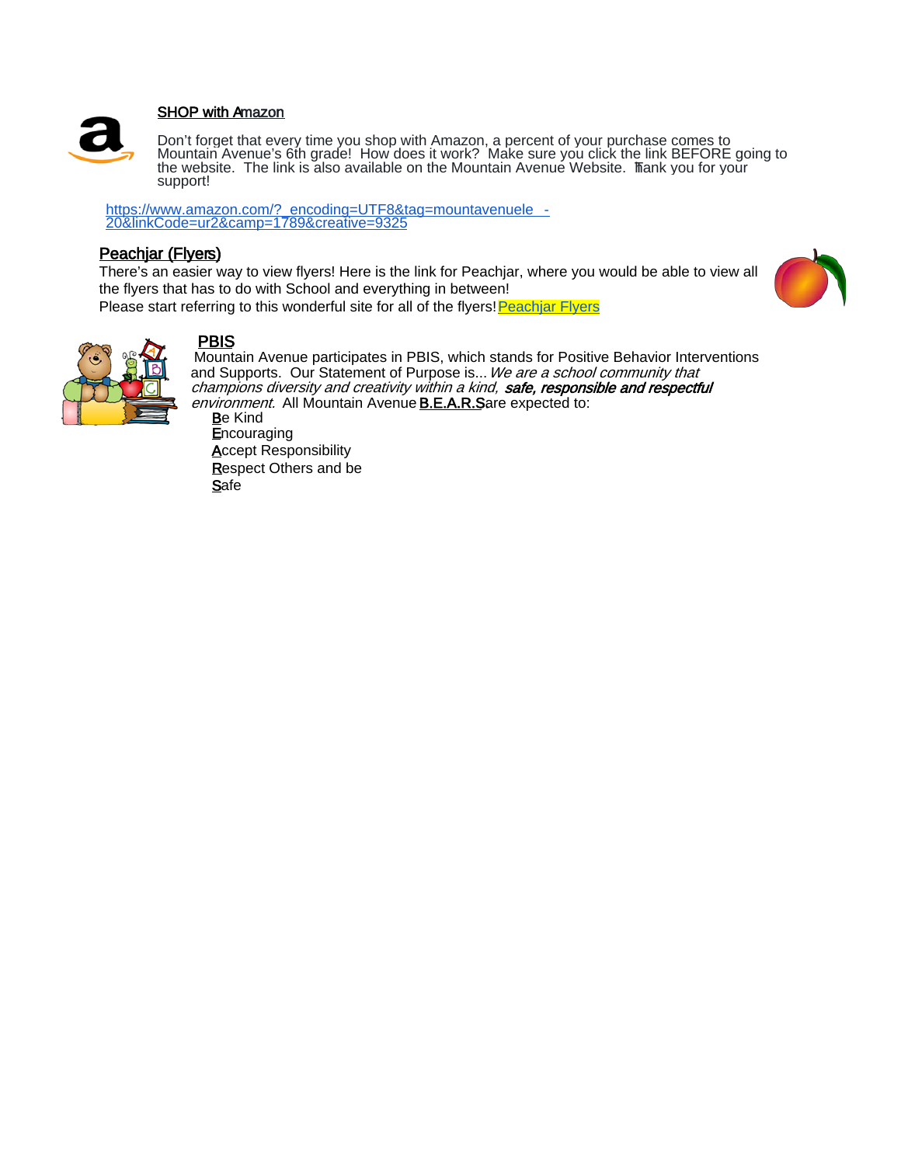

## SHOP with Amazon

Don't forget that every time you shop with Amazon, a percent of your purchase comes to Mountain Avenue's 6th grade! How does it work? Make sure you click the link BEFORE going to the website. The link is also available on the Mountain Avenue Website. Thank you for your support!

[https://www.amazon.com/?\\_encoding=UTF8&tag=mountavenuele](https://www.amazon.com/?_encoding=UTF8&tag=mountavenuele-20&linkCode=ur2&camp=1789&creative=9325) -<br>20&linkCode=ur2&camp=1789&creative=9325

# Peachjar (Flyers)

There's an easier way to view flyers! Here is the link for Peachjar, where you would be able to view all the flyers that has to do with School and everything in between! Please start referring to this wonderful site for all of the flyers! Peachjar Flyers





**PBIS**<br>Mountain Avenue participates in PBIS, which stands for Positive Behavior Interventions and Supports. Our Statement of Purpose is... We are a school community that champions diversity and creativity within a kind, safe, responsible and respectful environment. All Mountain Avenue **B.E.A.R.S**are expected to: Be Kind **Encouraging Accept Responsibility** 

Respect Others and be Safe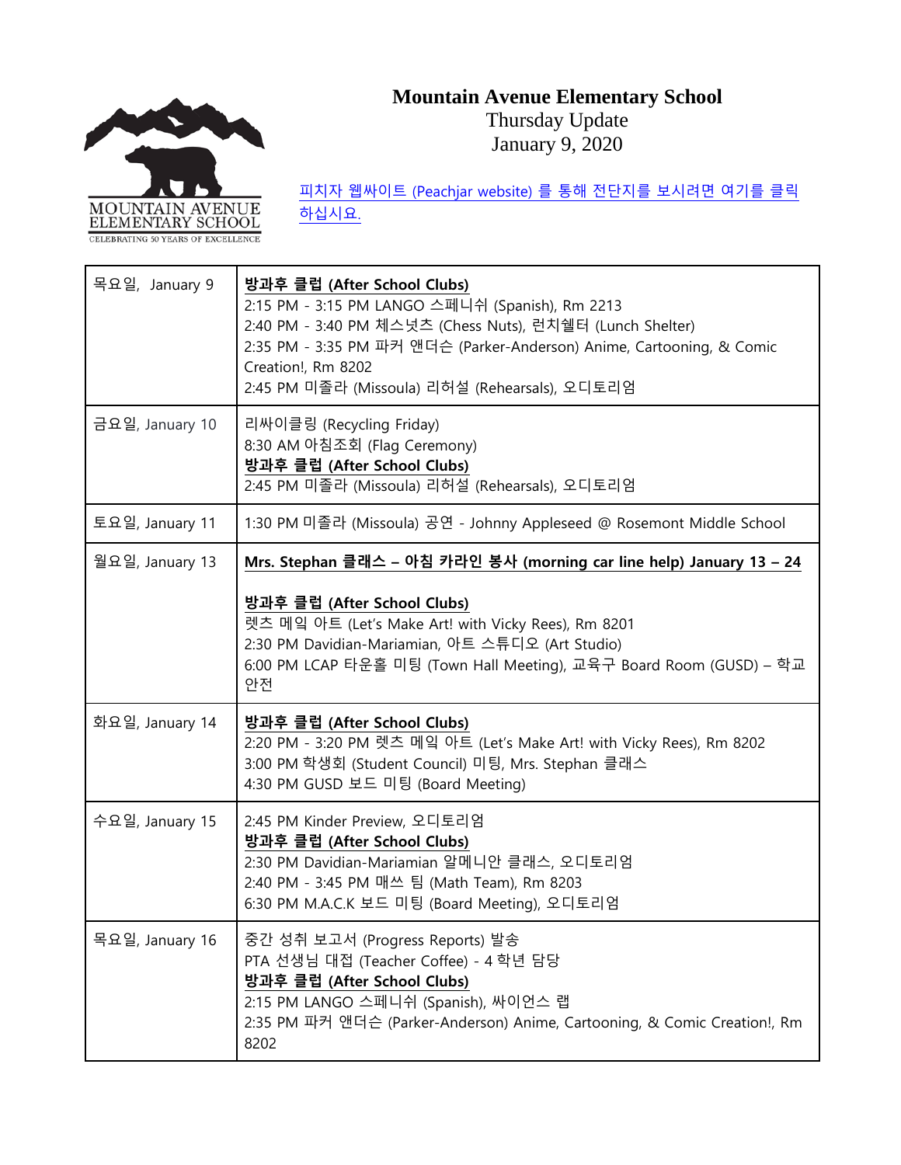# **Mountain Avenue Elementary School** Thursday Update

January 9, 2020



피치자 웹싸이트 [\(Peachjar website\)](https://app.peachjar.com/flyers/all/schools/55122) 를 통해 전단지를 보시려면 여기를 클릭

[하십시요](https://app.peachjar.com/flyers/all/schools/55122).

| 목요일, January 9  | 방과후 클럽 (After School Clubs)<br>2:15 PM - 3:15 PM LANGO 스페니쉬 (Spanish), Rm 2213<br>2:40 PM - 3:40 PM 체스넛츠 (Chess Nuts), 런치쉘터 (Lunch Shelter)<br>2:35 PM - 3:35 PM 파커 앤더슨 (Parker-Anderson) Anime, Cartooning, & Comic<br>Creation!, Rm 8202<br>2:45 PM 미졸라 (Missoula) 리허설 (Rehearsals), 오디토리엄 |
|-----------------|----------------------------------------------------------------------------------------------------------------------------------------------------------------------------------------------------------------------------------------------------------------------------------------------|
| 금요일, January 10 | 리싸이클링 (Recycling Friday)<br>8:30 AM 아침조회 (Flag Ceremony)<br>방과후 클럽 (After School Clubs)<br>2:45 PM 미졸라 (Missoula) 리허설 (Rehearsals), 오디토리엄                                                                                                                                                    |
| 토요일, January 11 | 1:30 PM 미졸라 (Missoula) 공연 - Johnny Appleseed @ Rosemont Middle School                                                                                                                                                                                                                        |
| 월요일, January 13 | Mrs. Stephan 클래스 – 아침 카라인 봉사 (morning car line help) January 13 – 24<br>방과후 클럽 (After School Clubs)<br>렛츠 메잌 아트 (Let's Make Art! with Vicky Rees), Rm 8201<br>2:30 PM Davidian-Mariamian, 아트 스튜디오 (Art Studio)<br>6:00 PM LCAP 타운홀 미팅 (Town Hall Meeting), 교육구 Board Room (GUSD) – 학교<br>안전  |
| 화요일, January 14 | 방과후 클럽 (After School Clubs)<br>2:20 PM - 3:20 PM 렛츠 메잌 아트 (Let's Make Art! with Vicky Rees), Rm 8202<br>3:00 PM 학생회 (Student Council) 미팅, Mrs. Stephan 클래스<br>4:30 PM GUSD 보드 미팅 (Board Meeting)                                                                                             |
| 수요일, January 15 | 2:45 PM Kinder Preview, 오디토리엄<br>방과후 클럽 (After School Clubs)<br>2:30 PM Davidian-Mariamian 알메니안 클래스, 오디토리엄<br>2:40 PM - 3:45 PM 매쓰 팀 (Math Team), Rm 8203<br>6:30 PM M.A.C.K 보드 미팅 (Board Meeting), 오디토리엄                                                                                    |
| 목요일, January 16 | 중간 성취 보고서 (Progress Reports) 발송<br>PTA 선생님 대접 (Teacher Coffee) - 4 학년 담당<br>방과후 클럽 (After School Clubs)<br>2:15 PM LANGO 스페니쉬 (Spanish), 싸이언스 랩<br>2:35 PM 파커 앤더슨 (Parker-Anderson) Anime, Cartooning, & Comic Creation!, Rm<br>8202                                                         |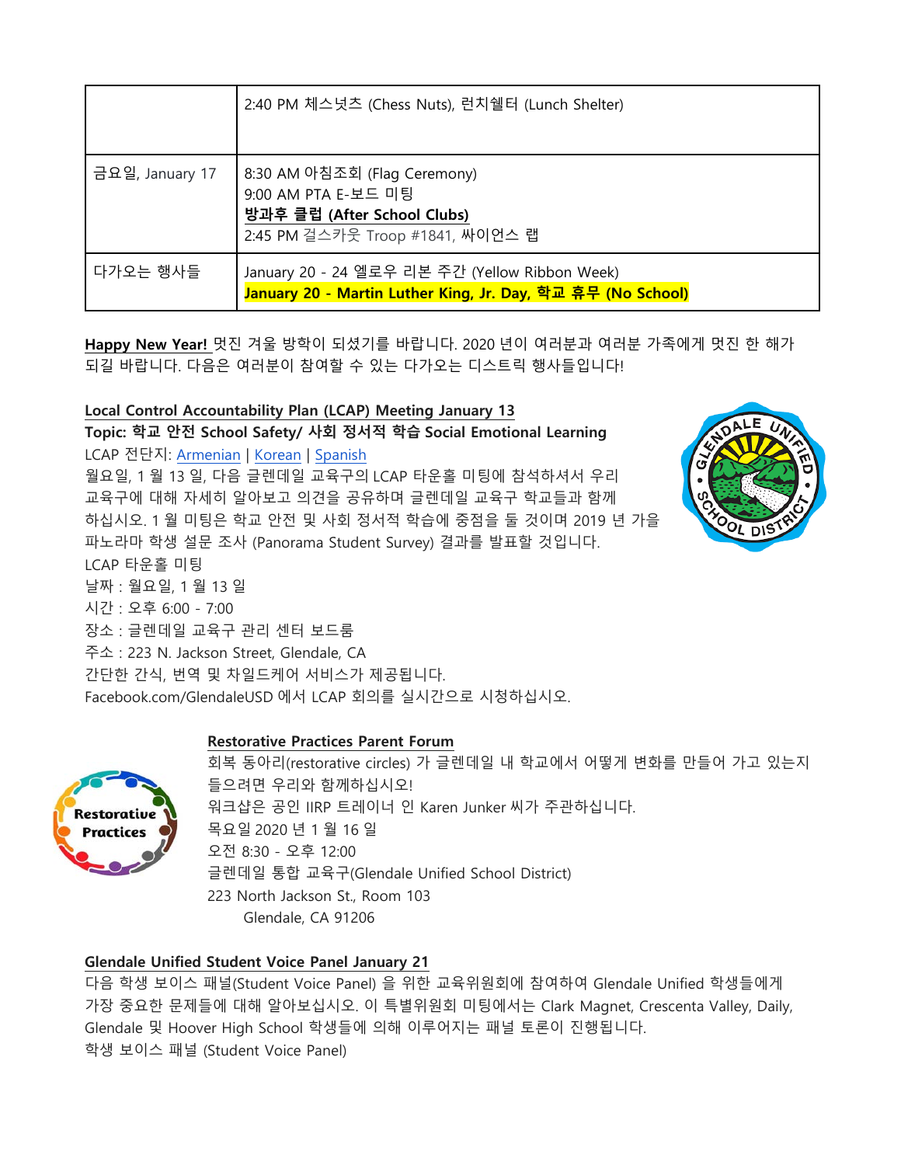|                 | 2:40 PM 체스넛츠 (Chess Nuts), 런치쉘터 (Lunch Shelter)                                                                        |
|-----------------|------------------------------------------------------------------------------------------------------------------------|
| 금요일, January 17 | 8:30 AM 아침조회 (Flag Ceremony)<br>9:00 AM PTA E-보드 미팅<br>방과후 클럽 (After School Clubs)<br>2:45 PM 걸스카웃 Troop #1841, 싸이언스 랩 |
| 다가오는 행사들        | January 20 - 24 엘로우 리본 주간 (Yellow Ribbon Week)<br>January 20 - Martin Luther King, Jr. Day, 학교 휴무 (No School)          |

**Happy New Year!** 멋진 겨울 방학이 되셨기를 바랍니다. 2020 년이 여러분과 여러분 가족에게 멋진 한 해가 되길 바랍니다. 다음은 여러분이 참여할 수 있는 다가오는 디스트릭 행사들입니다!

**Local Control Accountability Plan (LCAP) Meeting January 13 Topic: 학교 안전 School Safety/ 사회 정서적 학습 Social Emotional Learning** LCAP 전단지: [Armenian](https://www.gusd.net/cms/lib/CA01000648/Centricity/Domain/117/Arm-Town%20Hall%20Meeting%202019-20%20Flyer_updated%2008-07.pdf) | [Korean](https://www.gusd.net/cms/lib/CA01000648/Centricity/Domain/117/Kor-Town%20Hall%20Meeting%202019-20%20Flyer.pdf) | [Spanish](https://www.gusd.net/cms/lib/CA01000648/Centricity/Domain/117/Sp-Town%20Hall%20Meeting%202019-20%20Flyer.pdf)  월요일, 1 월 13 일, 다음 글렌데일 교육구의 LCAP 타운홀 미팅에 참석하셔서 우리 교육구에 대해 자세히 알아보고 의견을 공유하며 글렌데일 교육구 학교들과 함께 하십시오. 1 월 미팅은 학교 안전 및 사회 정서적 학습에 중점을 둘 것이며 2019 년 가을 파노라마 학생 설문 조사 (Panorama Student Survey) 결과를 발표할 것입니다. LCAP 타운홀 미팅 날짜 : 월요일, 1 월 13 일 시간 : 오후 6:00 - 7:00 장소 : 글렌데일 교육구 관리 센터 보드룸 주소 : 223 N. Jackson Street, Glendale, CA 간단한 간식, 번역 및 차일드케어 서비스가 제공됩니다. Facebook.com/GlendaleUSD 에서 LCAP 회의를 실시간으로 시청하십시오.



## **Restorative Practices Parent Forum**



회복 동아리(restorative circles) 가 글렌데일 내 학교에서 어떻게 변화를 만들어 가고 있는지 들으려면 우리와 함께하십시오! 워크샵은 공인 IIRP 트레이너 인 Karen Junker 씨가 주관하십니다. 목요일 2020 년 1 월 16 일 오전 8:30 - 오후 12:00 글렌데일 통합 교육구(Glendale Unified School District) 223 North Jackson St., Room 103 Glendale, CA 91206

## **Glendale Unified Student Voice Panel January 21**

다음 학생 보이스 패널(Student Voice Panel) 을 위한 교육위원회에 참여하여 Glendale Unified 학생들에게 가장 중요한 문제들에 대해 알아보십시오. 이 특별위원회 미팅에서는 Clark Magnet, Crescenta Valley, Daily, Glendale 및 Hoover High School 학생들에 의해 이루어지는 패널 토론이 진행됩니다. 학생 보이스 패널 (Student Voice Panel)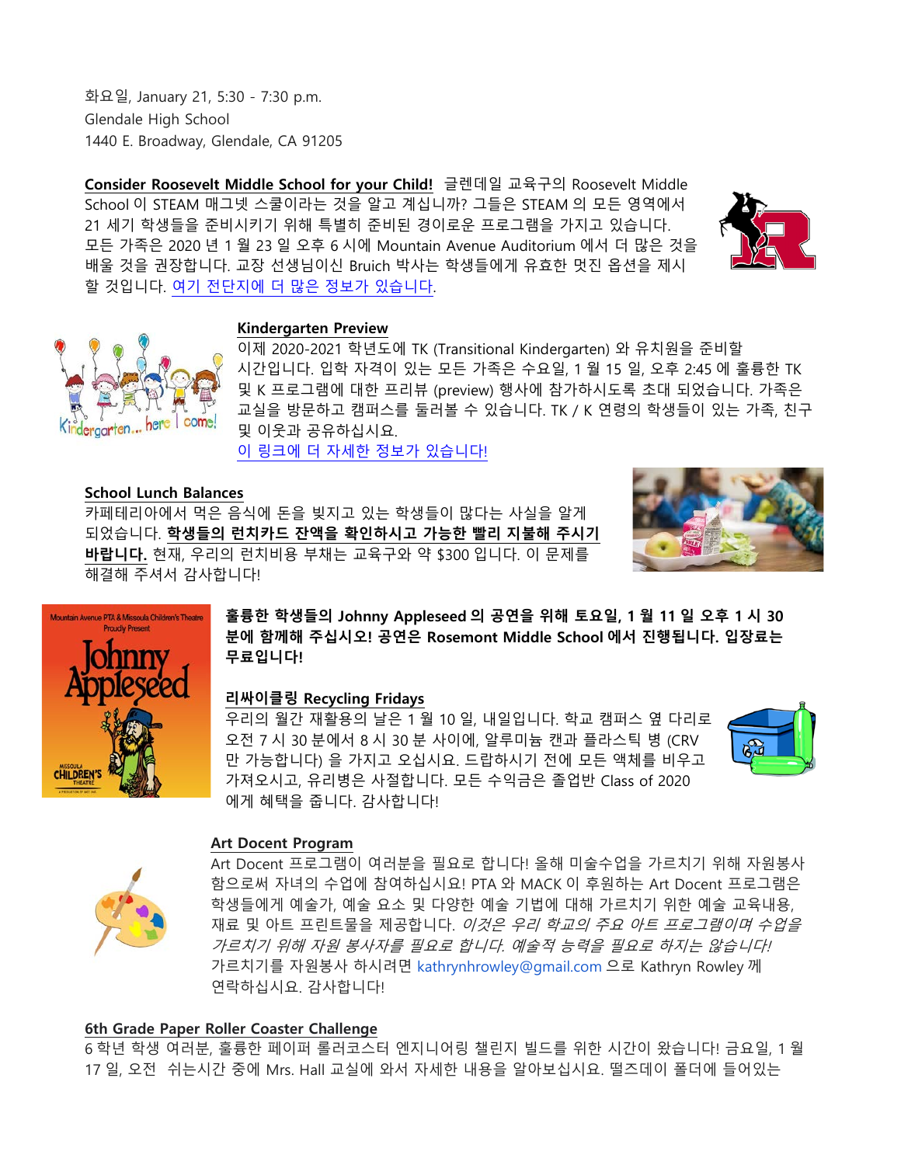화요일, January 21, 5:30 - 7:30 p.m. Glendale High School 1440 E. Broadway, Glendale, CA 91205

**Consider Roosevelt Middle School for your Child!** 글렌데일 교육구의 Roosevelt Middle School 이 STEAM 매그넷 스쿨이라는 것을 알고 계십니까? 그들은 STEAM 의 모든 영역에서 21 세기 학생들을 준비시키기 위해 특별히 준비된 경이로운 프로그램을 가지고 있습니다. 모든 가족은 2020 년 1 월 23 일 오후 6 시에 Mountain Avenue Auditorium 에서 더 많은 것을 배울 것을 권장합니다. 교장 선생님이신 Bruich 박사는 학생들에게 유효한 멋진 옵션을 제시 할 것입니다. 여기 [전단지에](https://www.gusd.net/cms/lib/CA01000648/Centricity/ModuleInstance/9125/Roosevelt%20Roadshow%20Flyer%20Mountain%20Ave.pdf) 더 많은 정보가 있습니다.

![](_page_7_Picture_2.jpeg)

## **Kindergarten Preview**

![](_page_7_Picture_4.jpeg)

이제 2020-2021 학년도에 TK (Transitional Kindergarten) 와 유치원을 준비할 시간입니다. 입학 자격이 있는 모든 가족은 수요일, 1 월 15 일, 오후 2:45 에 훌륭한 TK 및 K 프로그램에 대한 프리뷰 (preview) 행사에 참가하시도록 초대 되었습니다. 가족은 교실을 방문하고 캠퍼스를 둘러볼 수 있습니다. TK / K 연령의 학생들이 있는 가족, 친구 및 이웃과 공유하십시요.

이 링크에 더 자세한 정보가 [있습니다](https://www.gusd.net/cms/lib/CA01000648/Centricity/ModuleInstance/9125/COLOR%20Kinder%20preview%20flyer%202020.pdf)!

# **School Lunch Balances**

카페테리아에서 먹은 음식에 돈을 빚지고 있는 학생들이 많다는 사실을 알게 되었습니다. **학생들의 런치카드 잔액을 확인하시고 가능한 빨리 지불해 주시기 바랍니다.** 현재, 우리의 런치비용 부채는 교육구와 약 \$300 입니다. 이 문제를 해결해 주셔서 감사합니다!

![](_page_7_Picture_9.jpeg)

![](_page_7_Picture_10.jpeg)

**훌륭한 학생들의 Johnny Appleseed 의 공연을 위해 토요일, 1 월 11 일 오후 1 시 30 분에 함께해 주십시오! 공연은 Rosemont Middle School 에서 진행됩니다. 입장료는 무료입니다!**

# **리싸이클링 Recycling Fridays**

우리의 월간 재활용의 날은 1 월 10 일, 내일입니다. 학교 캠퍼스 옆 다리로 오전 7 시 30 분에서 8 시 30 분 사이에, 알루미늄 캔과 플라스틱 병 (CRV 만 가능합니다) 을 가지고 오십시요. 드랍하시기 전에 모든 액체를 비우고 가져오시고, 유리병은 사절합니다. 모든 수익금은 졸업반 Class of 2020 에게 혜택을 줍니다. 감사합니다!

![](_page_7_Picture_14.jpeg)

# **Art Docent Program**

Art Docent 프로그램이 여러분을 필요로 합니다! 올해 미술수업을 가르치기 위해 자원봉사 함으로써 자녀의 수업에 참여하십시요! PTA 와 MACK 이 후원하는 Art Docent 프로그램은 학생들에게 예술가, 예술 요소 및 다양한 예술 기법에 대해 가르치기 위한 예술 교육내용, 재료 및 아트 프린트물을 제공합니다. 이것은 우리 학교의 주요 아트 프로그램이며 수업을 가르치기 위해 자원 봉사자를 필요로 합니다. 예술적 능력을 필요로 하지는 않습니다! 가르치기를 자원봉사 하시려면 kathrynhrowley@gmail.com 으로 Kathryn Rowley 께 연락하십시요. 감사합니다!

## **6th Grade Paper Roller Coaster Challenge**

6 학년 학생 여러분, 훌륭한 페이퍼 롤러코스터 엔지니어링 챌린지 빌드를 위한 시간이 왔습니다! 금요일, 1 월 17 일, 오전 쉬는시간 중에 Mrs. Hall 교실에 와서 자세한 내용을 알아보십시요. 떨즈데이 폴더에 들어있는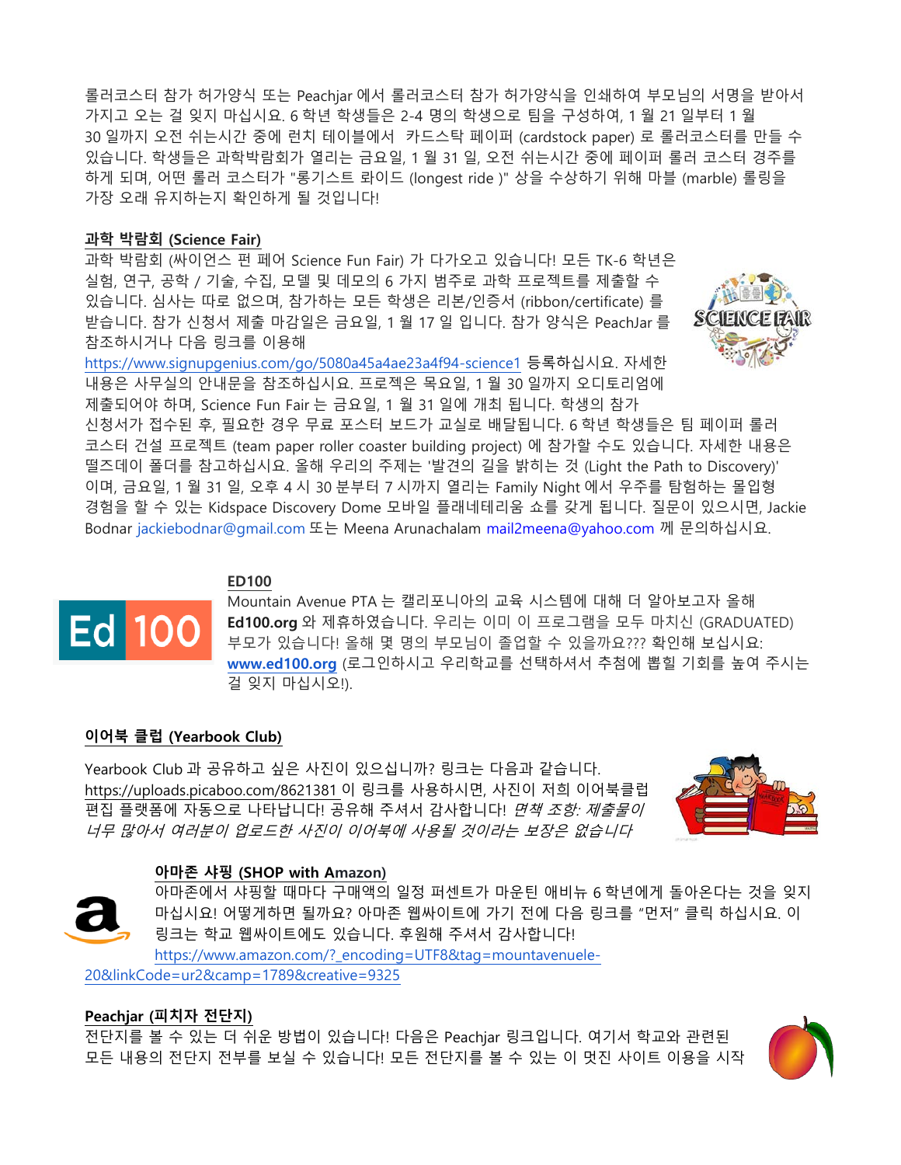롤러코스터 참가 허가양식 또는 Peachjar 에서 롤러코스터 참가 허가양식을 인쇄하여 부모님의 서명을 받아서 가지고 오는 걸 잊지 마십시요. 6 학년 학생들은 2-4 명의 학생으로 팀을 구성하여, 1 월 21 일부터 1 월 30 일까지 오전 쉬는시간 중에 런치 테이블에서 카드스탁 페이퍼 (cardstock paper) 로 롤러코스터를 만들 수 있습니다. 학생들은 과학박람회가 열리는 금요일, 1 월 31 일, 오전 쉬는시간 중에 페이퍼 롤러 코스터 경주를 하게 되며, 어떤 롤러 코스터가 "롱기스트 롸이드 (longest ride )" 상을 수상하기 위해 마블 (marble) 롤링을 가장 오래 유지하는지 확인하게 될 것입니다!

# **과학 박람회 (Science Fair)**

과학 박람회 (싸이언스 펀 페어 Science Fun Fair) 가 다가오고 있습니다! 모든 TK-6 학년은 실험, 연구, 공학 / 기술, 수집, 모델 및 데모의 6 가지 범주로 과학 프로젝트를 제출할 수 있습니다. 심사는 따로 없으며, 참가하는 모든 학생은 리본/인증서 (ribbon/certificate) 를 받습니다. 참가 신청서 제출 마감일은 금요일, 1 월 17 일 입니다. 참가 양식은 PeachJar 를 참조하시거나 다음 링크를 이용해

<https://www.signupgenius.com/go/5080a45a4ae23a4f94-science1> 등록하십시요. 자세한 내용은 사무실의 안내문을 참조하십시요. 프로젝은 목요일, 1 월 30 일까지 오디토리엄에 제출되어야 하며, Science Fun Fair 는 금요일, 1 월 31 일에 개최 됩니다. 학생의 참가

신청서가 접수된 후, 필요한 경우 무료 포스터 보드가 교실로 배달됩니다. 6 학년 학생들은 팀 페이퍼 롤러 코스터 건설 프로젝트 (team paper roller coaster building project) 에 참가할 수도 있습니다. 자세한 내용은 떨즈데이 폴더를 참고하십시요. 올해 우리의 주제는 '발견의 길을 밝히는 것 (Light the Path to Discovery)' 이며, 금요일, 1 월 31 일, 오후 4 시 30 분부터 7 시까지 열리는 Family Night 에서 우주를 탐험하는 몰입형 경험을 할 수 있는 Kidspace Discovery Dome 모바일 플래네테리움 쇼를 갖게 됩니다. 질문이 있으시면, Jackie Bodnar jackiebodnar@gmail.com 또는 Meena Arunachalam [mail2meena@yahoo.com](mailto:mail2meena@yahoo.com) 께 문의하십시요.

## **ED100**

Mountain Avenue PTA 는 캘리포니아의 교육 시스템에 대해 더 알아보고자 올해 **Ed100.org** 와 제휴하였습니다. 우리는 이미 이 프로그램을 모두 마치신 (GRADUATED) 부모가 있습니다! 올해 몇 명의 부모님이 졸업할 수 있을까요??? 확인해 보십시요: **[www.ed100.org](http://www.ed100.org/)** (로그인하시고 우리학교를 선택하셔서 추첨에 뽑힐 기회를 높여 주시는 걸 잊지 마십시오!).

# **이어북 클럽 (Yearbook Club)**

**Ed 100** 

Yearbook Club 과 공유하고 싶은 사진이 있으십니까? 링크는 다음과 같습니다. <https://uploads.picaboo.com/8621381> 이 링크를 사용하시면, 사진이 저희 이어북클럽 편집 플랫폼에 자동으로 나타납니다! 공유해 주셔서 감사합니다! *면책 조항: 제출물이* 너무 많아서 여러분이 업로드한 사진이 이어북에 사용될 것이라는 보장은 없습니다

![](_page_8_Picture_9.jpeg)

![](_page_8_Picture_10.jpeg)

## **아마존 샤핑 (SHOP with Amazon)**

아마존에서 샤핑할 때마다 구매액의 일정 퍼센트가 마운틴 애비뉴 6 학년에게 돌아온다는 것을 잊지 마십시요! 어떻게하면 될까요? 아마존 웹싸이트에 가기 전에 다음 링크를 "먼저" 클릭 하십시요. 이 링크는 학교 웹싸이트에도 있습니다. 후원해 주셔서 감사합니다! [https://www.amazon.com/?\\_encoding=UTF8&tag=mountavenuele-](https://www.amazon.com/?_encoding=UTF8&tag=mountavenuele-20&linkCode=ur2&camp=1789&creative=9325)[20&linkCode=ur2&camp=1789&creative=9325](https://www.amazon.com/?_encoding=UTF8&tag=mountavenuele-20&linkCode=ur2&camp=1789&creative=9325)

# **Peachjar (피치자 전단지)**

전단지를 볼 수 있는 더 쉬운 방법이 있습니다! 다음은 Peachjar 링크입니다. 여기서 학교와 관련된 모든 내용의 전단지 전부를 보실 수 있습니다! 모든 전단지를 볼 수 있는 이 멋진 사이트 이용을 시작

![](_page_8_Picture_15.jpeg)